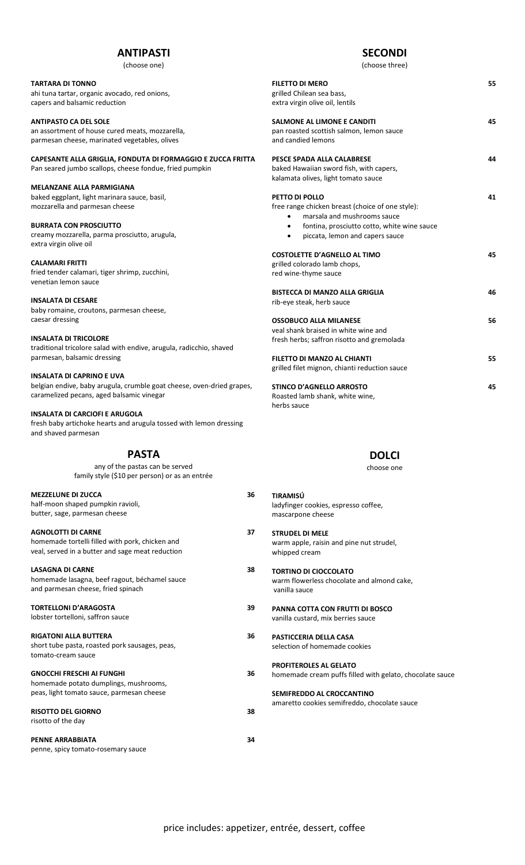# **ANTIPASTI**

(choose one)

# **TARTARA DI TONNO**

ahi tuna tartar, organic avocado, red onions, capers and balsamic reduction

#### **ANTIPASTO CA DEL SOLE** an assortment of house cured meats, mozzarella, parmesan cheese, marinated vegetables, olives

**CAPESANTE ALLA GRIGLIA, FONDUTA DI FORMAGGIO E ZUCCA FRITTA** Pan seared jumbo scallops, cheese fondue, fried pumpkin

### **MELANZANE ALLA PARMIGIANA**

baked eggplant, light marinara sauce, basil, mozzarella and parmesan cheese

### **BURRATA CON PROSCIUTTO**  creamy mozzarella, parma prosciutto, arugula, extra virgin olive oil

**CALAMARI FRITTI** fried tender calamari, tiger shrimp, zucchini, venetian lemon sauce

#### **INSALATA DI CESARE**

baby romaine, croutons, parmesan cheese, caesar dressing

## **INSALATA DI TRICOLORE**

traditional tricolore salad with endive, arugula, radicchio, shaved parmesan, balsamic dressing

#### **INSALATA DI CAPRINO E UVA**

belgian endive, baby arugula, crumble goat cheese, oven-dried grapes, caramelized pecans, aged balsamic vinegar

### **INSALATA DI CARCIOFI E ARUGOLA**

fresh baby artichoke hearts and arugula tossed with lemon dressing and shaved parmesan

# **PASTA**

any of the pastas can be served family style (\$10 per person) or as an entrée

| <b>MEZZELUNE DI ZUCCA</b><br>half-moon shaped pumpkin ravioli,<br>butter, sage, parmesan cheese                                  | 36 |
|----------------------------------------------------------------------------------------------------------------------------------|----|
| <b>AGNOLOTTI DI CARNE</b><br>homemade tortelli filled with pork, chicken and<br>veal, served in a butter and sage meat reduction | 37 |
| <b>LASAGNA DI CARNE</b><br>homemade lasagna, beef ragout, béchamel sauce<br>and parmesan cheese, fried spinach                   | 38 |
| <b>TORTELLONI D'ARAGOSTA</b><br>lobster tortelloni, saffron sauce                                                                | 39 |
| <b>RIGATONI ALLA BUTTERA</b><br>short tube pasta, roasted pork sausages, peas,<br>tomato-cream sauce                             | 36 |
| <b>GNOCCHI FRESCHI AI FUNGHI</b><br>homemade potato dumplings, mushrooms,                                                        | 36 |

# peas, light tomato sauce, parmesan cheese **RISOTTO DEL GIORNO 38**

**PENNE ARRABBIATA 34**

risotto of the day

penne, spicy tomato-rosemary sauce

# **SECONDI**

(choose three)

| FILETTO DI MERO<br>grilled Chilean sea bass,<br>extra virgin olive oil, lentils                                                                                                                         | 55 |
|---------------------------------------------------------------------------------------------------------------------------------------------------------------------------------------------------------|----|
| <b>SALMONE AL LIMONE E CANDITI</b><br>pan roasted scottish salmon, lemon sauce<br>and candied lemons                                                                                                    | 45 |
| PESCE SPADA ALLA CALABRESE<br>baked Hawaiian sword fish, with capers,<br>kalamata olives, light tomato sauce                                                                                            | 44 |
| <b>PETTO DI POLLO</b><br>free range chicken breast (choice of one style):<br>marsala and mushrooms sauce<br>fontina, prosciutto cotto, white wine sauce<br>piccata, lemon and capers sauce<br>$\bullet$ | 41 |
| <b>COSTOLETTE D'AGNELLO AL TIMO</b><br>grilled colorado lamb chops,<br>red wine-thyme sauce                                                                                                             | 45 |
| BISTECCA DI MANZO ALLA GRIGLIA<br>rib-eye steak, herb sauce                                                                                                                                             | 46 |
| <b>OSSOBUCO ALLA MILANESE</b><br>veal shank braised in white wine and<br>fresh herbs; saffron risotto and gremolada                                                                                     | 56 |
| FILETTO DI MANZO AL CHIANTI<br>grilled filet mignon, chianti reduction sauce                                                                                                                            | 55 |
| <b>STINCO D'AGNELLO ARROSTO</b><br>Roasted lamb shank, white wine,                                                                                                                                      | 45 |

herbs sauce

# **DOLCI**

choose one

- **TIRAMISÚ**  ladyfinger cookies, espresso coffee, mascarpone cheese
- **STRUDEL DI MELE** warm apple, raisin and pine nut strudel, whipped cream
- **TORTINO DI CIOCCOLATO** warm flowerless chocolate and almond cake, vanilla sauce
- **PANNA COTTA CON FRUTTI DI BOSCO** vanilla custard, mix berries sauce
- **PASTICCERIA DELLA CASA** selection of homemade cookies

**PROFITEROLES AL GELATO** homemade cream puffs filled with gelato, chocolate sauce

**SEMIFREDDO AL CROCCANTINO** amaretto cookies semifreddo, chocolate sauce